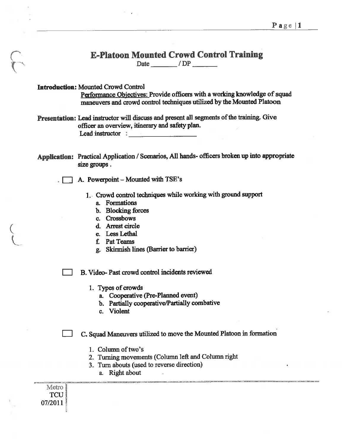# **<sup>E</sup>-Platoon Mounted Crowd Control Training**

Date  $/$  DP

**Introduction:** Mounted Crowd Control

 $\subset$ 

(

 $\bigcap$ 

Performance Objectives: Provide officers with a working knowledge of squad maneuvers and crowd control techniques utilized by the Mounted Platoon

**Presentation:** Lead instructor will discuss and presen<sup>t</sup> all segments of the training. Give officer an overview, itinerary and safety plan. Lead instructor :

**Application:** Practical Application / Scenarios,All hands- officers broken up into appropriate size groups.

 $\Box$  A. Powerpoint – Mounted with TSE's

- 1. Crowd control techniques while working with ground suppor<sup>t</sup>
	- a. Formations
	- b. Blocking forces
	- <sup>c</sup>. Crossbows
	- d. Arrest circle
	- e. Less Lethal
	- f. Pat Teams
	- g. Skirmish lines (Barrier to barrier)

B. Video- Past crowd control incidents reviewed

- 1. Types of crowds
	- a. Cooperative (Pre-Planned event)
	- <sup>b</sup>. Partially cooperative/Partially combative
	- c. Violent

 IC.Squad Maneuvers utilized to move the Mounted Platoon in formation

- 1. Column of two's
- 2. Turning movements (Column left and Column right
- 3. Turn abouts (used to reverse direction)
	- <sup>a</sup>. Right about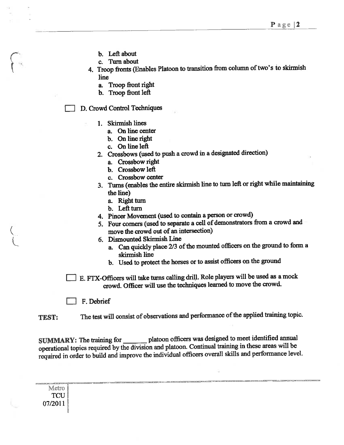b. Left about

*r*

(

 $\big($ 

c. Turn about

<sup>4</sup>. Troop fronts (Enables Platoon to transition from column of two'<sup>s</sup> to skirmish line

<sup>a</sup>. Troop front right

b. Troop front left

D. Crowd Control Techniques

I

- 1. Skirmish lines
	- <sup>a</sup>. On line center
	- b. On line right
	- c. On line left
- 2. Crossbows (used to pus<sup>h</sup> <sup>a</sup> crowd in <sup>a</sup> designated direction)
	- <sup>a</sup>. Crossbow right
	- b. Crossbow left
	- <sup>c</sup>. Crossbow center
- <sup>3</sup>. Turns (enables the entire skirmish line to turn left or right while maintaining the line)
	- a. Right turn
	- b. Left turn
- <sup>4</sup>. Pincer Movement (used to contain <sup>a</sup> person or crowd)
- <sup>5</sup>. Four comers(used to separate <sup>a</sup> cell of demonstrators from <sup>a</sup> crowd and move the crowd out of an intersection)
- 6. Dismounted Skirmish Line
	- <sup>a</sup>. Can quickly <sup>p</sup>lace <sup>2</sup>/3 of the mounted officers on the groun<sup>d</sup> to form <sup>a</sup> skirmish line
	- <sup>b</sup>. Used to protect the horses or to assist officers on the groun<sup>d</sup>

E. FTX-Officers will take turns calling drill. Role <sup>p</sup>layers will be used as <sup>a</sup> mock crowd. Officer will use the techniques learned to move the crowd.

F. Debrief

TEST: The test will consist of observations and performance of the applied training topic.

SUMMARY: The training for platoon officers was designed to meet identified annual operational topics required by the division and <sup>p</sup>latoon. Continual training in these areas will be required in order to build and improve the individual officers overall skills and performance level.

| Metro   |  |
|---------|--|
| TCU     |  |
| 07/2011 |  |
|         |  |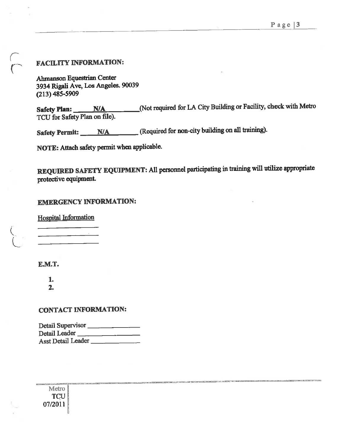## FACILITY INFORMATION:

 $\subset$ 

 $\mathcal{C}$ 

 $(\hspace{0.05cm}$ 

Ahmanson Equestrian Center 3934 Rigali Ave, Los Angeles. 90039 (213) 485-5909

Safety Plan: N/A (Not required for LA City Building or Facility, check with Metro TCU for Safety Plan on file). Safety Plan: N/A

Safety Permit: <u>N/A</u> (Required for non-city building on all training).

NOTE:Attach safety permit when applicable.

REQUIRED SAFETY EQUIPMENT: All personnel participating in training will utilize appropriate protective equipment.

## EMERGENCY INFORMATION:

Hospital Information

#### E.M.T.

**1. 2**.

#### CONTACT INFORMATION:

| Detail Supervisor<br>Detail Leader |  |
|------------------------------------|--|
| Asst Detail Leader                 |  |

w <sup>L</sup>! i « Metro *J.'M <sup>~</sup>jmw.V -l j* cm **TCU** 07/2011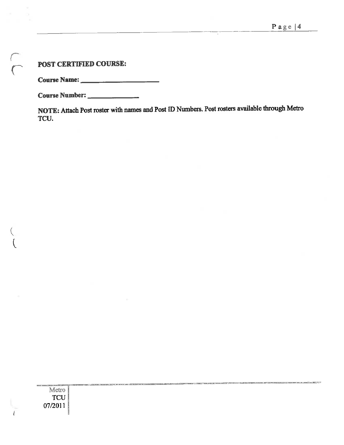**POST CERTIFIED COURSE:** c

 $\sqrt{2}$ 

**(,**

*l*

**Course Name:**

**Course Number:**

NOTE:Attach Post roster with names and Post ID Numbers. Post rosters available through Metro TCU.

and the company of the spin spin spin which are proposed as the company of the spin spin spin spin spin spin s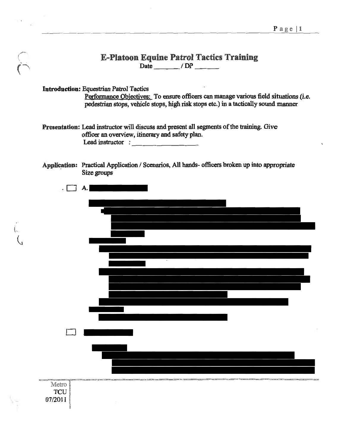# *\* **E-Platoon Equine Patrol Tactics Training**  $Date$ <sub>\_\_\_\_\_\_</sub>/ $DP$

**Introduction:** Equestrian Patrol Tactics

*(*

**(**

Performance Objectives: To ensure officers can manage various field situations (i.e. pedestrian stops, vehicle stops, high risk stops etc.) in a tactically sound manner

**Presentation:** Lead instructor will discuss and present all segments of the training. Give officer an overview, itinerary and safety plan. Lead instructor :

**Application:** Practical Application / Scenarios, All hands- officers broken up into appropriate Size groups

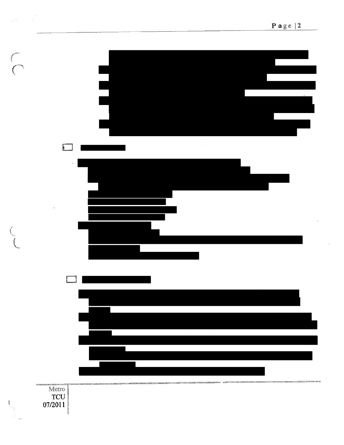





Metro TCU 07/2011

**r** C

**(**  $\checkmark$  $\big($ 

-l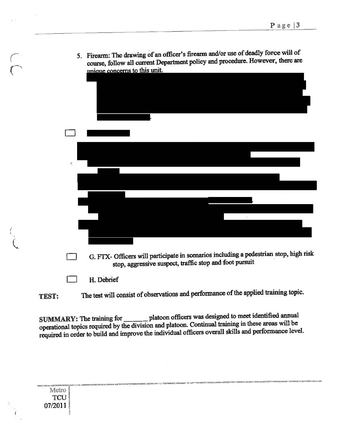5. Firearm: The drawing of an officer's firearm and/or use of deadly force will of course, follow all current Department policy and procedure.However, there are unique concerns to this unit.



G. FTX- Officers will participate in scenarios including <sup>a</sup> pedestrian stop, high risk stop, aggressive suspect, traffic stop and foot pursuit

H.Debrief

 $\subset$ 

 $\subset$ 

*<*

 $\begin{pmatrix} 1 & 1 \\ 1 & 1 \end{pmatrix}$ 

TEST: The test will consist of observations and performance of the applied training topic.

SUMMARY: The training for platoon officers was designed to meet identified annual operational topics required by the division and platoon. Continual training in these areas will be required in order to build and improve the individual officers overall skills and performance level.

| Metro      |  |  |
|------------|--|--|
| <b>TCU</b> |  |  |
| 07/2011    |  |  |
|            |  |  |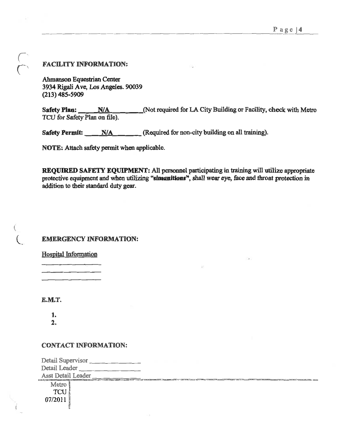#### FACILITY INFORMATION:

*r*

 $\bigcap$ 

*{*

i

 $\overline{\zeta}$ 

Ahmanson Equestrian Center <sup>3934</sup> Rigali Ave, Los Angeles. <sup>90039</sup> (213) 485-5909

Safety Plan: N/A (Not required for LA City Building or Facility, check with Metro TCU for Safety Plan on file).

**Safety Permit:** N/A (Required for non-city building on all training).

NOTE:Attach safety permit when applicable.

REQUIRED SAFETY EQUIPMENT: All personnel participating in training will utilize appropriate protective equipment and when utilizing **"simunitions",** shall wear eye, face and throat protection in addition to their standard duty gear.

EMERGENCY INFORMATION:

Hospital Information

E.M.T.

**1. 2.**

## CONTACT INFORMATION:

Detail Supervisor \_ Detail Leader Asst Detail Leader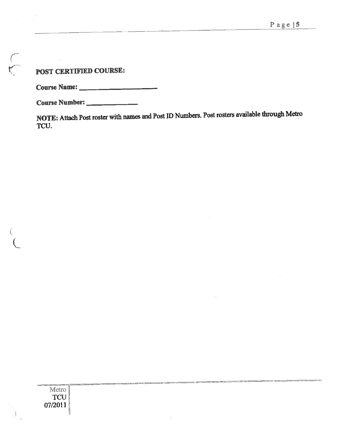**POST CERTIFIED COURSE:**

**r**r

 $\begin{pmatrix} 1 & 1 \\ 1 & 1 \end{pmatrix}$ 

**Course Name:**

**Course Number:**

**NOTE:Attach Post roster with names and Post ID Numbers. Post rosters available through Metro TCU.**

<u>na may noong Tinga maaning ng pagangan</u>

**Metro j TCU '** 07/2011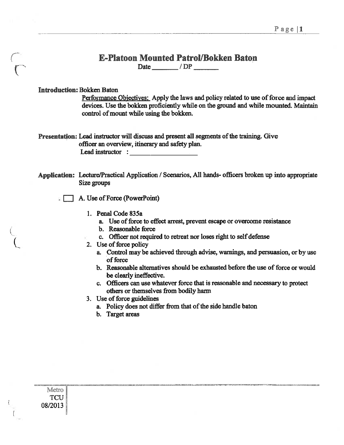# **r E-Platoon Mounted Patrol/Bokken Baton**

Date / DP

#### **Introduction:**Bokken Baton

Performance Objectives: Apply the laws and policy related to use of force and impact devices. Use the bokken proficiently while on the ground and while mounted. Maintain control of mount while using the bokken.

#### Presentation: Lead instructor will discuss and present all segments of the training. Give officer an overview, itinerary and safety plan. Lead instructor :

**Application:** Lecture/Practical Application / Scenarios,All hands- officers broken up into appropriate Size groups

- $\Box$  A. Use of Force (PowerPoint)
	- 1. Penal Code 835a
		- a. Use of force to effect arrest, prevent escape or overcome resistance
		- b. Reasonable force
		- c. Officer not required to retreat nor loses right to self defense
	- 2. Use of force policy
		- a. Control may be achieved through advise, warnings, and persuasion, or by use of force
		- b. Reasonable alternatives should be exhausted before die use of force or would be clearly ineffective.
		- c. Officers can use whatever force that is reasonable and necessary to protect others or themselves from bodily harm
	- 3. Use of force guidelines
		- a. Policy does not differ from that of the side handle baton
		- b. Target areas

Metro **TCU** 08/2013 <sup>t</sup>

**(**

 $\subset$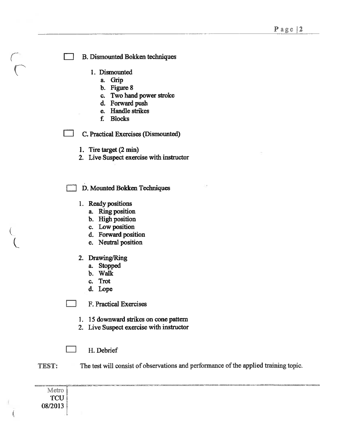**R** B. Dismounted Bokken techniques

- **C** 1. Dismounted
	- a. Grip
	- b. Figure 8
	- c. Two hand power stroke
	- d. Forward push
	- e. Handle strikes
	- f. Blocks

C.Practical Exercises (Dismounted)

- 1. Tire target (2 min)
- 2. Live Suspect exercise with instructor

D. Mounted Bokken Techniques

- 1. Ready positions
	- a. Ring position
	- b. High position
	- c. Low position
	- d. Forward position
	- e. Neutral position
- 2. Drawing/Ring
	- a. Stopped
	- b. Walk
	- c. Trot
	- d. Lope

F. Practical Exercises

- 1. 15 downward strikes on cone pattern
- 2. Live Suspect exercise with instructor
- ┓ H. Debrief

TEST: The test will consist of observations and performance of the applied training topic.

| Metro   |
|---------|
| TCU     |
| 08/2013 |

**(**

 $\overline{C}$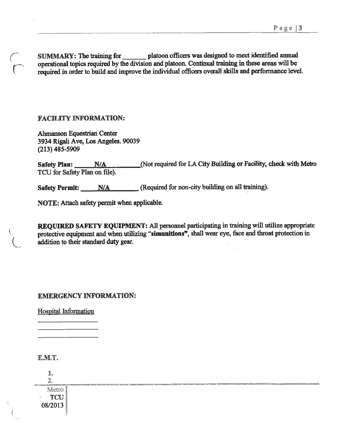SUMMARY: The training for platoon officers was designed to meet identified annual operational topics required by the division and <sup>p</sup>latoon. Continual training in these areas will be required in order to build and improve the individual officers overall skills and performance level.

#### FACILITY INFORMATION:

(

**(** A.

*L*

 $\sqrt{2}$ 

Ahmanson Equestrian Center 3934 Rigali Ave, Los Angeles. 90039 (213) 485-5909

**Not required for LA City Building or Facility, check with Metro** TCU for Safety Plan on file). Safety Plan: N/A

**Safety Permit:** N/A (Required for non-city building on all training).

NOTE:Attach safety permit when applicable.

REQUIRED SAFETY EQUIPMENT: All personnel participating in training will utilize appropriate protective equipment and when utilizing **"simimitions",** shall wear eye, face and throat protection in addition to their standard duty gear.

#### EMERGENCY INFORMATION:

Hospital Information

E.M.T.

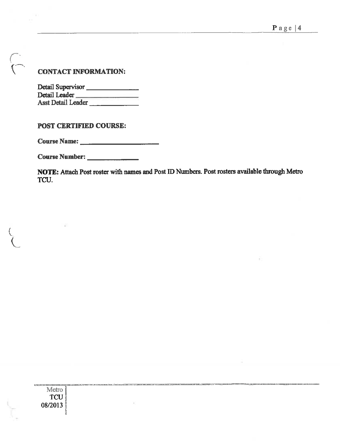# - **CONTACT INFORMATION:**

*r* r<br>C

(

**Metro TCU** 08/2013

| Detail Supervisor<br>Detail Leader |  |
|------------------------------------|--|
| <b>Asst Detail Leader</b>          |  |

#### **POST CERTIFIED COURSE:**

**Course Name:**

**Course Number:**

NOTE: Attach Post roster with names and Post ID Numbers. Post rosters available through Metro TCU.

.<br>The company of the company of the company of the company of the company of the company of the company of the c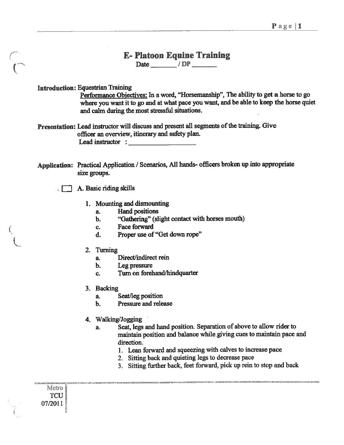# **£- Platoon Equine Training**

Date / DP C

**Introduction:** Equestrian Training

**r**

l

**i**

Performance Objectives: In a word, "Horsemanship", The ability to get a horse to go where you want it to go and at what pace you want, and be able to keep the horse quiet and calm during the most stressful situations.

**Presentation:** Lead instructor will discuss and presen<sup>t</sup> all segments of the training. Give officer an overview, itinerary and safety plan. Lead instructor :

**Application:** Practical Application / Scenarios,All hands- officers broken up into appropriate size groups.

- A. Basic riding skills
	- 1. Mounting and dismounting
		- Hand positions a.
		- "Gathering" (slight contact with horses mouth) **b.**
		- Face forward c.
		- Proper use of "Get down rope" d.
	- 2. Turning
		- Direct/indirect rein a.
		- Leg pressure b.
		- Turn on forehand/hindquarter c.
	- 3. Backing

- Seat/leg position a.
- Pressure and release b.
- 4. Walking/Jogging
	- Seat, legs and hand position. Separation of above to allow rider to maintain position and balance while giving cues to maintain pace and direction. a.
		- 1. Lean forward and squeezing with calves to increase pace
		- <sup>2</sup>. Sitting back and quieting legs to decrease pace
		- 3. Sitting further back, feet forward, pick up rein to stop and back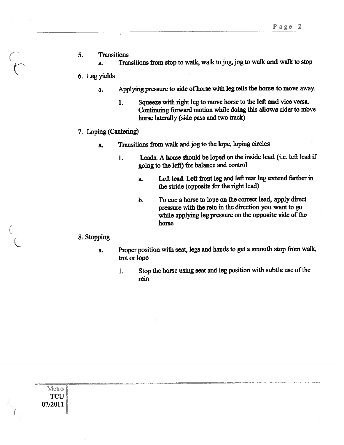a*m*a Z3DQTX

- <sup>5</sup>. Transitions
	- Transitions from stop to walk, walk to jog, jog to walk and walk to stop
- 6. Leg yields

 $\subset$ 

- Applying pressure to side of horse with leg tells the horse to move away. a.
	- <sup>1</sup>. Squeeze with right leg to move horse to the left and vice versa. Continuing forward motion while doing this allows rider to move horse laterally (side pass and two track)
- 7. Loping (Cantering)
	- Transitions from walk and jog to the lope, loping circles a.
		- Leads. A horse should be loped on the inside lead (i.e. left lead if going to the left) for balance and control **1.**
			- Left lead. Left front leg and left rear leg extend farther in the stride (opposite for the right lead) a.
			- To cue <sup>a</sup> horse to lope on the correct lead, apply direct pressure with the rein in the direction you want to go while applying leg pressure on the opposite side of the horse **b.**
- 8. Stopping
	- Proper position with seat, legs and hands to get a smooth stop from walk, trot or lope a.
		- **<sup>1</sup>.** Stop the horse using seat and leg position with subtle use of the rein



**f**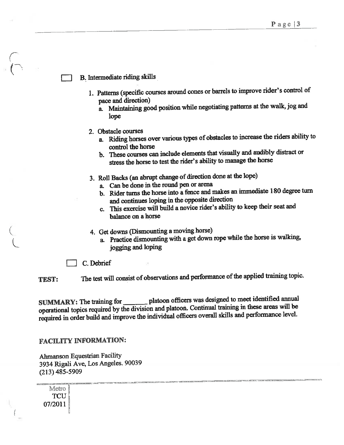- B. Intermediate riding skills
	- 1. Patterns (specific courses around cones or barrels to improve rider's control of pace and direction)
		- <sup>a</sup>. Maintaining goo<sup>d</sup> position while negotiating patterns at the walk, jog and lope
	- 2. Obstacle courses
		- <sup>a</sup>. Riding horses over various types of obstacles to increase the riders ability to control the horse
		- <sup>b</sup>. These courses can include elements that visually and audibly distract or stress the horse to test the rider's ability to manage the horse
	- <sup>3</sup>. Roll Backs (an abrupt change of direction done at the lope)
		- <sup>a</sup>. Can be done in the round pen or arena
		- <sup>b</sup>. Rider turns the horse into <sup>a</sup> fence and makes an immediate <sup>180</sup> degree turn and continues loping in the opposite direction
		- c. This exercise will build <sup>a</sup> novice rider'<sup>s</sup> ability to keep their seat and balance on <sup>a</sup> horse
	- <sup>4</sup>. Get downs (Dismounting <sup>a</sup> moving horse)
		- a. Practice dismounting with a get down rope while the horse is walking, jogging and loping
	- C. Debrief
- 

**r**

 $\begin{pmatrix} 1 & 1 & 1 \\ 1 & 1 & 1 \\ 1 & 1 & 1 \end{pmatrix}$ 

TEST: The test will consist of observations and performance of the applied training topic.

SUMMARY: The training for platoon officers was designed to meet identified annual operational topics required by the division and platoon. Continual training in these areas will be required in order build and improve the individual officers overall skills and performance level.

## FACILITY INFORMATION:

Ahmanson Equestrian Facility 3934 Rigali Ave, Los Angeles. 90039 (213) 485-5909

Metro| **TCU**  $\begin{bmatrix} 07/2011 \end{bmatrix}$ 

**f**